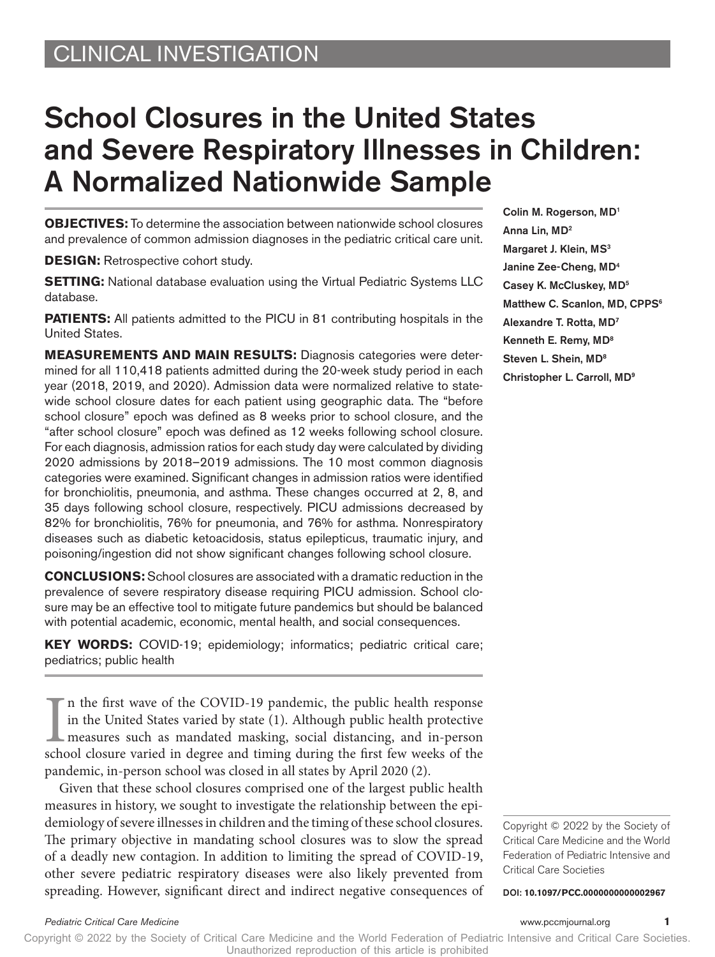# School Closures in the United States and Severe Respiratory Illnesses in Children: A Normalized Nationwide Sample

**OBJECTIVES:** To determine the association between nationwide school closures and prevalence of common admission diagnoses in the pediatric critical care unit.

**DESIGN:** Retrospective cohort study.

**SETTING:** National database evaluation using the Virtual Pediatric Systems LLC database.

**PATIENTS:** All patients admitted to the PICU in 81 contributing hospitals in the United States.

**MEASUREMENTS AND MAIN RESULTS:** Diagnosis categories were determined for all 110,418 patients admitted during the 20-week study period in each year (2018, 2019, and 2020). Admission data were normalized relative to statewide school closure dates for each patient using geographic data. The "before school closure" epoch was defined as 8 weeks prior to school closure, and the "after school closure" epoch was defined as 12 weeks following school closure. For each diagnosis, admission ratios for each study day were calculated by dividing 2020 admissions by 2018–2019 admissions. The 10 most common diagnosis categories were examined. Significant changes in admission ratios were identified for bronchiolitis, pneumonia, and asthma. These changes occurred at 2, 8, and 35 days following school closure, respectively. PICU admissions decreased by 82% for bronchiolitis, 76% for pneumonia, and 76% for asthma. Nonrespiratory diseases such as diabetic ketoacidosis, status epilepticus, traumatic injury, and poisoning/ingestion did not show significant changes following school closure.

**CONCLUSIONS:** School closures are associated with a dramatic reduction in the prevalence of severe respiratory disease requiring PICU admission. School closure may be an effective tool to mitigate future pandemics but should be balanced with potential academic, economic, mental health, and social consequences.

**KEY WORDS:** COVID-19; epidemiology; informatics; pediatric critical care; pediatrics; public health

In the first wave of the COVID-19 pandemic, the public health response in the United States varied by state (1). Although public health protective measures such as mandated masking, social distancing, and in-person school n the first wave of the COVID-19 pandemic, the public health response in the United States varied by state (1). Although public health protective measures such as mandated masking, social distancing, and in-person pandemic, in-person school was closed in all states by April 2020 (2).

Given that these school closures comprised one of the largest public health measures in history, we sought to investigate the relationship between the epidemiology of severe illnesses in children and the timing of these school closures. The primary objective in mandating school closures was to slow the spread of a deadly new contagion. In addition to limiting the spread of COVID-19, other severe pediatric respiratory diseases were also likely prevented from spreading. However, significant direct and indirect negative consequences of Colin M. Rogerson, MD1 Anna Lin, MD2 Margaret J. Klein, MS<sup>3</sup> Janine Zee-Cheng, MD4 Casey K. McCluskey, MD5 Matthew C. Scanlon, MD, CPPS<sup>6</sup> Alexandre T. Rotta, MD7 Kenneth E. Remy, MD8 Steven L. Shein, MD8 Christopher L. Carroll, MD9

Copyright © 2022 by the Society of Critical Care Medicine and the World Federation of Pediatric Intensive and Critical Care Societies

DOI: **10.1097/PCC.0000000000002967**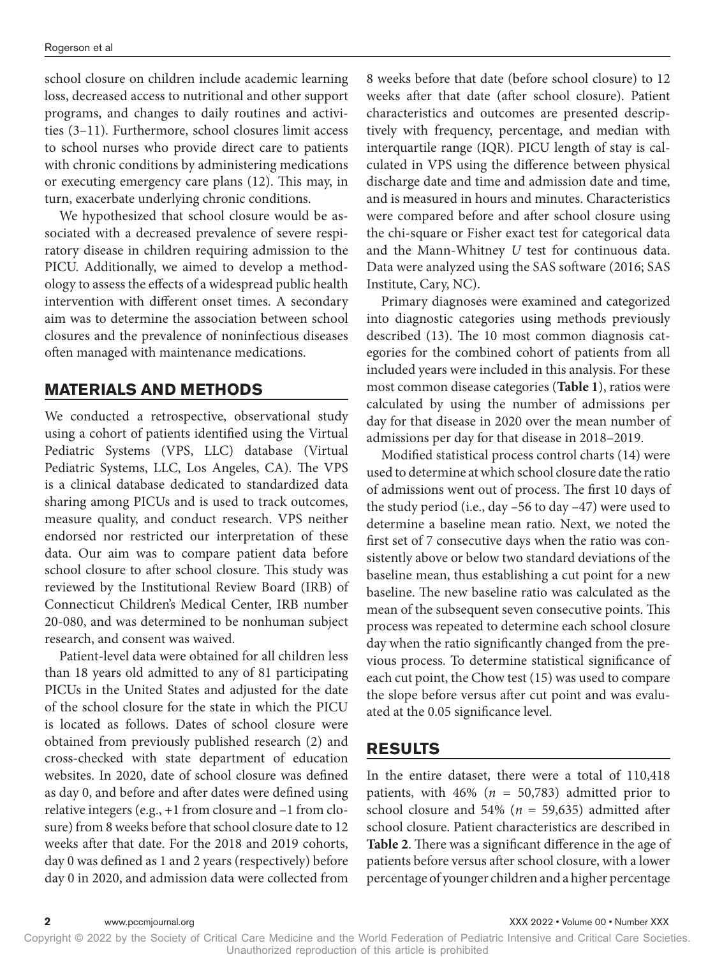school closure on children include academic learning loss, decreased access to nutritional and other support programs, and changes to daily routines and activities (3–11). Furthermore, school closures limit access to school nurses who provide direct care to patients with chronic conditions by administering medications or executing emergency care plans (12). This may, in turn, exacerbate underlying chronic conditions.

We hypothesized that school closure would be associated with a decreased prevalence of severe respiratory disease in children requiring admission to the PICU. Additionally, we aimed to develop a methodology to assess the effects of a widespread public health intervention with different onset times. A secondary aim was to determine the association between school closures and the prevalence of noninfectious diseases often managed with maintenance medications.

### **MATERIALS AND METHODS**

We conducted a retrospective, observational study using a cohort of patients identified using the Virtual Pediatric Systems (VPS, LLC) database (Virtual Pediatric Systems, LLC, Los Angeles, CA). The VPS is a clinical database dedicated to standardized data sharing among PICUs and is used to track outcomes, measure quality, and conduct research. VPS neither endorsed nor restricted our interpretation of these data. Our aim was to compare patient data before school closure to after school closure. This study was reviewed by the Institutional Review Board (IRB) of Connecticut Children's Medical Center, IRB number 20-080, and was determined to be nonhuman subject research, and consent was waived.

Patient-level data were obtained for all children less than 18 years old admitted to any of 81 participating PICUs in the United States and adjusted for the date of the school closure for the state in which the PICU is located as follows. Dates of school closure were obtained from previously published research (2) and cross-checked with state department of education websites. In 2020, date of school closure was defined as day 0, and before and after dates were defined using relative integers (e.g., +1 from closure and –1 from closure) from 8 weeks before that school closure date to 12 weeks after that date. For the 2018 and 2019 cohorts, day 0 was defined as 1 and 2 years (respectively) before day 0 in 2020, and admission data were collected from

8 weeks before that date (before school closure) to 12 weeks after that date (after school closure). Patient characteristics and outcomes are presented descriptively with frequency, percentage, and median with interquartile range (IQR). PICU length of stay is calculated in VPS using the difference between physical discharge date and time and admission date and time, and is measured in hours and minutes. Characteristics were compared before and after school closure using the chi-square or Fisher exact test for categorical data and the Mann-Whitney *U* test for continuous data. Data were analyzed using the SAS software (2016; SAS Institute, Cary, NC).

Primary diagnoses were examined and categorized into diagnostic categories using methods previously described (13). The 10 most common diagnosis categories for the combined cohort of patients from all included years were included in this analysis. For these most common disease categories (**Table 1**), ratios were calculated by using the number of admissions per day for that disease in 2020 over the mean number of admissions per day for that disease in 2018–2019.

Modified statistical process control charts (14) were used to determine at which school closure date the ratio of admissions went out of process. The first 10 days of the study period (i.e., day  $-56$  to day  $-47$ ) were used to determine a baseline mean ratio. Next, we noted the first set of 7 consecutive days when the ratio was consistently above or below two standard deviations of the baseline mean, thus establishing a cut point for a new baseline. The new baseline ratio was calculated as the mean of the subsequent seven consecutive points. This process was repeated to determine each school closure day when the ratio significantly changed from the previous process. To determine statistical significance of each cut point, the Chow test (15) was used to compare the slope before versus after cut point and was evaluated at the 0.05 significance level.

### **RESULTS**

In the entire dataset, there were a total of 110,418 patients, with  $46\%$  ( $n = 50,783$ ) admitted prior to school closure and 54% ( $n = 59,635$ ) admitted after school closure. Patient characteristics are described in **Table 2**. There was a significant difference in the age of patients before versus after school closure, with a lower percentage of younger children and a higher percentage

Copyright © 2022 by the Society of Critical Care Medicine and the World Federation of Pediatric Intensive and Critical Care Societies. Unauthorized reproduction of this article is prohibited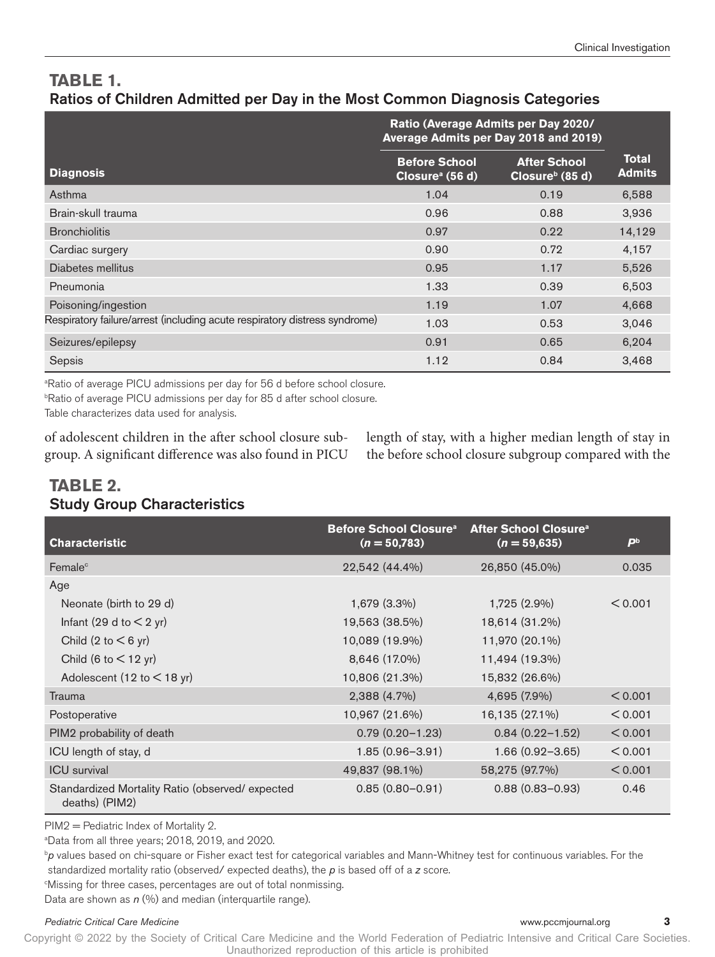# **TABLE 1.**  Ratios of Children Admitted per Day in the Most Common Diagnosis Categories

|                                                                            | Ratio (Average Admits per Day 2020/<br>Average Admits per Day 2018 and 2019) |                                                    |                               |
|----------------------------------------------------------------------------|------------------------------------------------------------------------------|----------------------------------------------------|-------------------------------|
| <b>Diagnosis</b>                                                           | <b>Before School</b><br>Closure <sup>a</sup> (56 d)                          | <b>After School</b><br>Closure <sup>b</sup> (85 d) | <b>Total</b><br><b>Admits</b> |
| Asthma                                                                     | 1.04                                                                         | 0.19                                               | 6,588                         |
| Brain-skull trauma                                                         | 0.96                                                                         | 0.88                                               | 3,936                         |
| <b>Bronchiolitis</b>                                                       | 0.97                                                                         | 0.22                                               | 14,129                        |
| Cardiac surgery                                                            | 0.90                                                                         | 0.72                                               | 4,157                         |
| Diabetes mellitus                                                          | 0.95                                                                         | 1.17                                               | 5,526                         |
| Pneumonia                                                                  | 1.33                                                                         | 0.39                                               | 6,503                         |
| Poisoning/ingestion                                                        | 1.19                                                                         | 1.07                                               | 4,668                         |
| Respiratory failure/arrest (including acute respiratory distress syndrome) | 1.03                                                                         | 0.53                                               | 3,046                         |
| Seizures/epilepsy                                                          | 0.91                                                                         | 0.65                                               | 6.204                         |
| Sepsis                                                                     | 1.12                                                                         | 0.84                                               | 3,468                         |

<sup>a</sup>Ratio of average PICU admissions per day for 56 d before school closure.

b Ratio of average PICU admissions per day for 85 d after school closure.

Table characterizes data used for analysis.

of adolescent children in the after school closure subgroup. A significant difference was also found in PICU length of stay, with a higher median length of stay in the before school closure subgroup compared with the

# **TABLE 2.**  Study Group Characteristics

| <b>Characteristic</b>                                             | <b>Before School Closure<sup>a</sup></b><br>$(n = 50,783)$ | After School Closure <sup>a</sup><br>$(n = 59,635)$ | $\mathbf{P}^{\mathrm{b}}$ |
|-------------------------------------------------------------------|------------------------------------------------------------|-----------------------------------------------------|---------------------------|
| Female <sup>c</sup>                                               | 22,542 (44.4%)                                             | 26,850 (45.0%)                                      | 0.035                     |
| Age                                                               |                                                            |                                                     |                           |
| Neonate (birth to 29 d)                                           | 1,679 (3.3%)                                               | 1,725 (2.9%)                                        | < 0.001                   |
| Infant (29 d to $<$ 2 yr)                                         | 19,563 (38.5%)                                             | 18,614 (31.2%)                                      |                           |
| Child $(2 \text{ to } < 6 \text{ yr})$                            | 10,089 (19.9%)                                             | 11,970 (20.1%)                                      |                           |
| Child (6 to $<$ 12 yr)                                            | 8,646 (17.0%)                                              | 11,494 (19.3%)                                      |                           |
| Adolescent (12 to $<$ 18 yr)                                      | 10,806 (21.3%)                                             | 15,832 (26.6%)                                      |                           |
| Trauma                                                            | 2,388 (4.7%)                                               | 4,695 (7.9%)                                        | < 0.001                   |
| Postoperative                                                     | 10,967 (21.6%)                                             | 16,135 (27.1%)                                      | < 0.001                   |
| PIM2 probability of death                                         | $0.79(0.20 - 1.23)$                                        | $0.84(0.22 - 1.52)$                                 | < 0.001                   |
| ICU length of stay, d                                             | $1.85(0.96 - 3.91)$                                        | $1.66(0.92 - 3.65)$                                 | < 0.001                   |
| <b>ICU</b> survival                                               | 49,837 (98.1%)                                             | 58,275 (97.7%)                                      | < 0.001                   |
| Standardized Mortality Ratio (observed/expected<br>deaths) (PIM2) | $0.85(0.80 - 0.91)$                                        | $0.88(0.83 - 0.93)$                                 | 0.46                      |

PIM2 = Pediatric Index of Mortality 2.

a Data from all three years; 2018, 2019, and 2020.

b *p* values based on chi-square or Fisher exact test for categorical variables and Mann-Whitney test for continuous variables. For the standardized mortality ratio (observed/ expected deaths), the *p* is based off of a *z* score.

c Missing for three cases, percentages are out of total nonmissing.

Data are shown as *n* (%) and median (interquartile range).

#### *Pediatric Critical Care Medicine* www.pccmjournal.org **3**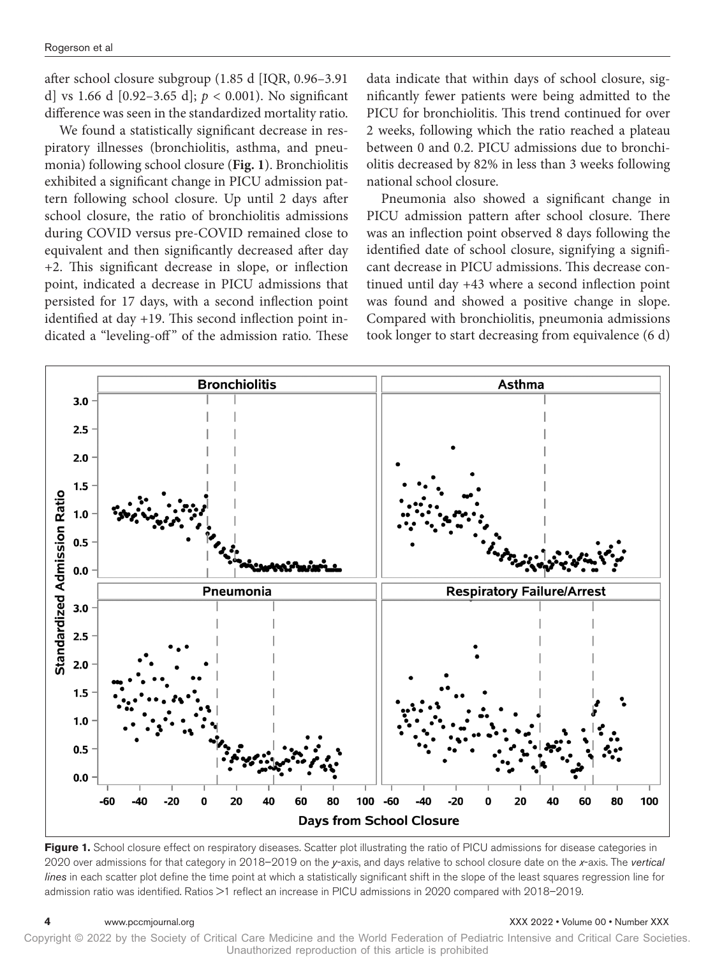after school closure subgroup (1.85 d [IQR, 0.96–3.91 d] vs 1.66 d [0.92–3.65 d]; *p* < 0.001). No significant difference was seen in the standardized mortality ratio.

We found a statistically significant decrease in respiratory illnesses (bronchiolitis, asthma, and pneumonia) following school closure (**Fig. 1**). Bronchiolitis exhibited a significant change in PICU admission pattern following school closure. Up until 2 days after school closure, the ratio of bronchiolitis admissions during COVID versus pre-COVID remained close to equivalent and then significantly decreased after day +2. This significant decrease in slope, or inflection point, indicated a decrease in PICU admissions that persisted for 17 days, with a second inflection point identified at day +19. This second inflection point indicated a "leveling-off" of the admission ratio. These data indicate that within days of school closure, significantly fewer patients were being admitted to the PICU for bronchiolitis. This trend continued for over 2 weeks, following which the ratio reached a plateau between 0 and 0.2. PICU admissions due to bronchiolitis decreased by 82% in less than 3 weeks following national school closure.

Pneumonia also showed a significant change in PICU admission pattern after school closure. There was an inflection point observed 8 days following the identified date of school closure, signifying a significant decrease in PICU admissions. This decrease continued until day +43 where a second inflection point was found and showed a positive change in slope. Compared with bronchiolitis, pneumonia admissions took longer to start decreasing from equivalence (6 d)



**Figure 1.** School closure effect on respiratory diseases. Scatter plot illustrating the ratio of PICU admissions for disease categories in 2020 over admissions for that category in 2018–2019 on the *y*-axis, and days relative to school closure date on the *x*-axis. The *vertical lines* in each scatter plot define the time point at which a statistically significant shift in the slope of the least squares regression line for admission ratio was identified. Ratios >1 reflect an increase in PICU admissions in 2020 compared with 2018–2019.

#### **4** www.pccmjournal.org XXX 2022 • Volume 00 • Number XXX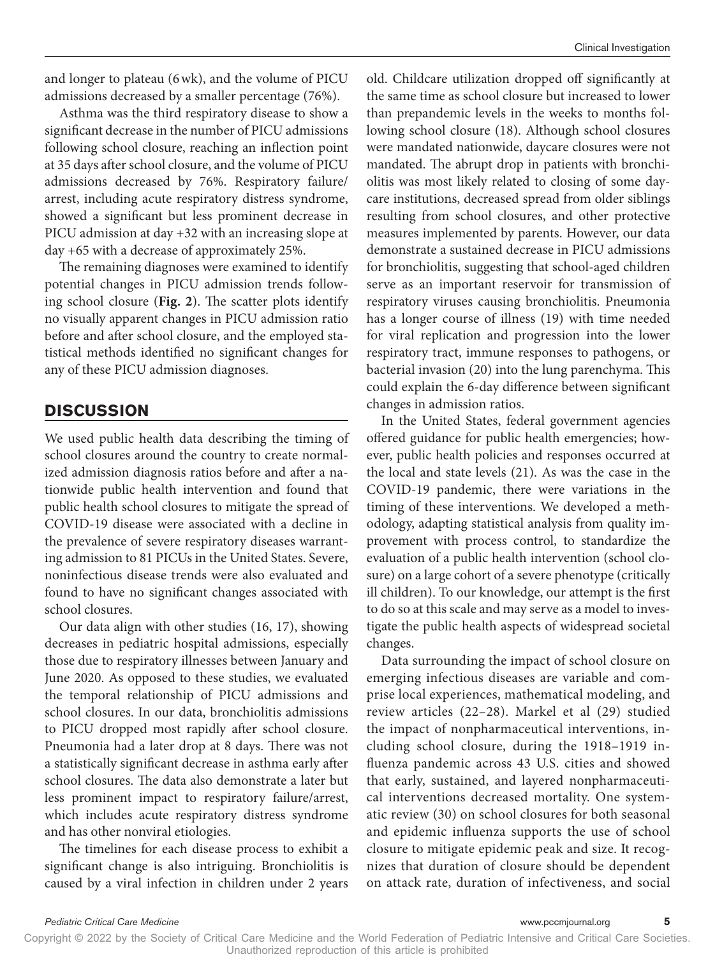and longer to plateau (6wk), and the volume of PICU admissions decreased by a smaller percentage (76%).

Asthma was the third respiratory disease to show a significant decrease in the number of PICU admissions following school closure, reaching an inflection point at 35 days after school closure, and the volume of PICU admissions decreased by 76%. Respiratory failure/ arrest, including acute respiratory distress syndrome, showed a significant but less prominent decrease in PICU admission at day +32 with an increasing slope at day +65 with a decrease of approximately 25%.

The remaining diagnoses were examined to identify potential changes in PICU admission trends following school closure (**Fig. 2**). The scatter plots identify no visually apparent changes in PICU admission ratio before and after school closure, and the employed statistical methods identified no significant changes for any of these PICU admission diagnoses.

### **DISCUSSION**

We used public health data describing the timing of school closures around the country to create normalized admission diagnosis ratios before and after a nationwide public health intervention and found that public health school closures to mitigate the spread of COVID-19 disease were associated with a decline in the prevalence of severe respiratory diseases warranting admission to 81 PICUs in the United States. Severe, noninfectious disease trends were also evaluated and found to have no significant changes associated with school closures.

Our data align with other studies (16, 17), showing decreases in pediatric hospital admissions, especially those due to respiratory illnesses between January and June 2020. As opposed to these studies, we evaluated the temporal relationship of PICU admissions and school closures. In our data, bronchiolitis admissions to PICU dropped most rapidly after school closure. Pneumonia had a later drop at 8 days. There was not a statistically significant decrease in asthma early after school closures. The data also demonstrate a later but less prominent impact to respiratory failure/arrest, which includes acute respiratory distress syndrome and has other nonviral etiologies.

The timelines for each disease process to exhibit a significant change is also intriguing. Bronchiolitis is caused by a viral infection in children under 2 years old. Childcare utilization dropped off significantly at the same time as school closure but increased to lower than prepandemic levels in the weeks to months following school closure (18). Although school closures were mandated nationwide, daycare closures were not mandated. The abrupt drop in patients with bronchiolitis was most likely related to closing of some daycare institutions, decreased spread from older siblings resulting from school closures, and other protective measures implemented by parents. However, our data demonstrate a sustained decrease in PICU admissions for bronchiolitis, suggesting that school-aged children serve as an important reservoir for transmission of respiratory viruses causing bronchiolitis. Pneumonia has a longer course of illness (19) with time needed for viral replication and progression into the lower respiratory tract, immune responses to pathogens, or bacterial invasion (20) into the lung parenchyma. This could explain the 6-day difference between significant changes in admission ratios.

In the United States, federal government agencies offered guidance for public health emergencies; however, public health policies and responses occurred at the local and state levels (21). As was the case in the COVID-19 pandemic, there were variations in the timing of these interventions. We developed a methodology, adapting statistical analysis from quality improvement with process control, to standardize the evaluation of a public health intervention (school closure) on a large cohort of a severe phenotype (critically ill children). To our knowledge, our attempt is the first to do so at this scale and may serve as a model to investigate the public health aspects of widespread societal changes.

Data surrounding the impact of school closure on emerging infectious diseases are variable and comprise local experiences, mathematical modeling, and review articles (22–28). Markel et al (29) studied the impact of nonpharmaceutical interventions, including school closure, during the 1918–1919 influenza pandemic across 43 U.S. cities and showed that early, sustained, and layered nonpharmaceutical interventions decreased mortality. One systematic review (30) on school closures for both seasonal and epidemic influenza supports the use of school closure to mitigate epidemic peak and size. It recognizes that duration of closure should be dependent on attack rate, duration of infectiveness, and social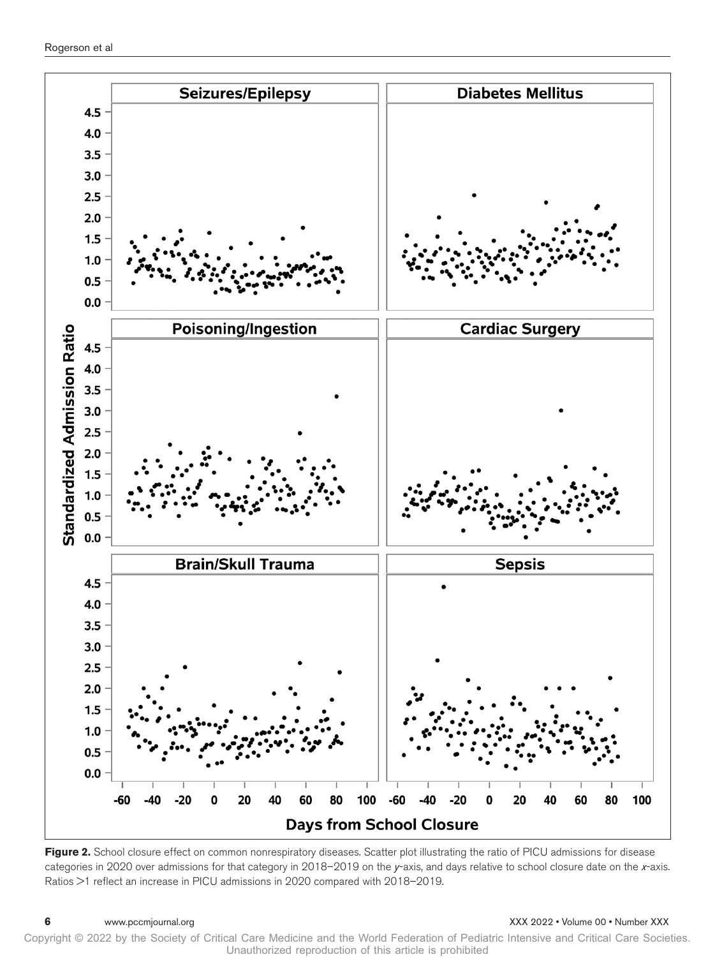

Figure 2. School closure effect on common nonrespiratory diseases. Scatter plot illustrating the ratio of PICU admissions for disease categories in 2020 over admissions for that category in 2018–2019 on the *y*-axis, and days relative to school closure date on the *x*-axis. Ratios >1 reflect an increase in PICU admissions in 2020 compared with 2018–2019.

#### **6** www.pccmjournal.org XXX 2022 • Volume 00 • Number XXX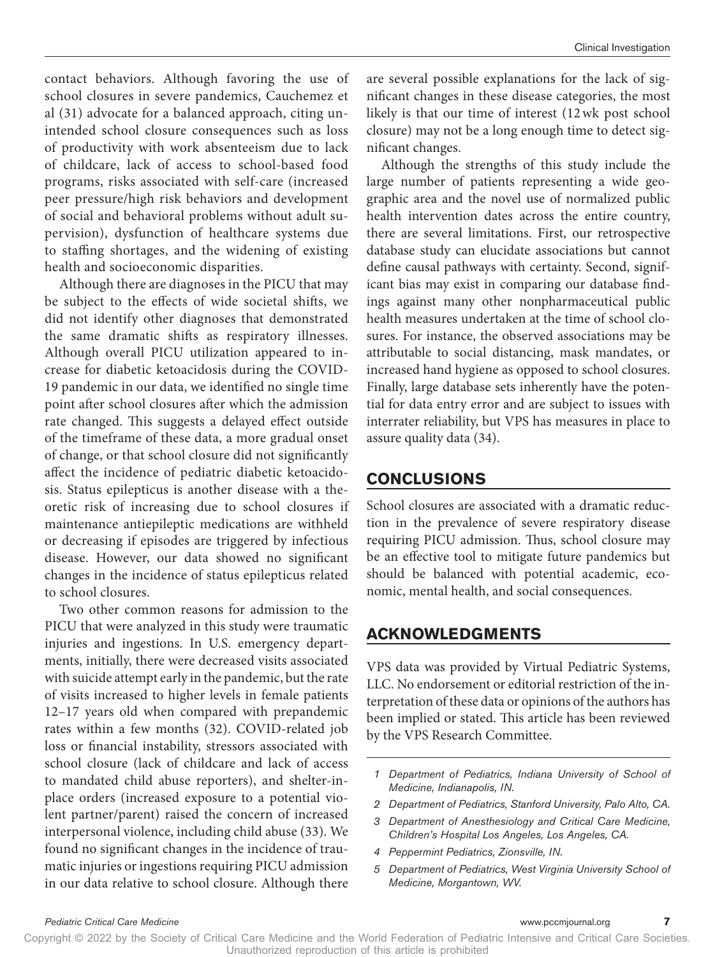contact behaviors. Although favoring the use of school closures in severe pandemics, Cauchemez et al (31) advocate for a balanced approach, citing unintended school closure consequences such as loss of productivity with work absenteeism due to lack of childcare, lack of access to school-based food programs, risks associated with self-care (increased peer pressure/high risk behaviors and development of social and behavioral problems without adult supervision), dysfunction of healthcare systems due to staffing shortages, and the widening of existing health and socioeconomic disparities.

Although there are diagnoses in the PICU that may be subject to the effects of wide societal shifts, we did not identify other diagnoses that demonstrated the same dramatic shifts as respiratory illnesses. Although overall PICU utilization appeared to increase for diabetic ketoacidosis during the COVID-19 pandemic in our data, we identified no single time point after school closures after which the admission rate changed. This suggests a delayed effect outside of the timeframe of these data, a more gradual onset of change, or that school closure did not significantly affect the incidence of pediatric diabetic ketoacidosis. Status epilepticus is another disease with a theoretic risk of increasing due to school closures if maintenance antiepileptic medications are withheld or decreasing if episodes are triggered by infectious disease. However, our data showed no significant changes in the incidence of status epilepticus related to school closures.

Two other common reasons for admission to the PICU that were analyzed in this study were traumatic injuries and ingestions. In U.S. emergency departments, initially, there were decreased visits associated with suicide attempt early in the pandemic, but the rate of visits increased to higher levels in female patients 12–17 years old when compared with prepandemic rates within a few months (32). COVID-related job loss or financial instability, stressors associated with school closure (lack of childcare and lack of access to mandated child abuse reporters), and shelter-inplace orders (increased exposure to a potential violent partner/parent) raised the concern of increased interpersonal violence, including child abuse (33). We found no significant changes in the incidence of traumatic injuries or ingestions requiring PICU admission in our data relative to school closure. Although there

are several possible explanations for the lack of significant changes in these disease categories, the most likely is that our time of interest (12wk post school closure) may not be a long enough time to detect significant changes.

Although the strengths of this study include the large number of patients representing a wide geographic area and the novel use of normalized public health intervention dates across the entire country, there are several limitations. First, our retrospective database study can elucidate associations but cannot define causal pathways with certainty. Second, significant bias may exist in comparing our database findings against many other nonpharmaceutical public health measures undertaken at the time of school closures. For instance, the observed associations may be attributable to social distancing, mask mandates, or increased hand hygiene as opposed to school closures. Finally, large database sets inherently have the potential for data entry error and are subject to issues with interrater reliability, but VPS has measures in place to assure quality data (34).

# **CONCLUSIONS**

School closures are associated with a dramatic reduction in the prevalence of severe respiratory disease requiring PICU admission. Thus, school closure may be an effective tool to mitigate future pandemics but should be balanced with potential academic, economic, mental health, and social consequences.

# **ACKNOWLEDGMENTS**

VPS data was provided by Virtual Pediatric Systems, LLC. No endorsement or editorial restriction of the interpretation of these data or opinions of the authors has been implied or stated. This article has been reviewed by the VPS Research Committee.

- *1 Department of Pediatrics, Indiana University of School of Medicine, Indianapolis, IN.*
- *2 Department of Pediatrics, Stanford University, Palo Alto, CA.*
- *3 Department of Anesthesiology and Critical Care Medicine, Children's Hospital Los Angeles, Los Angeles, CA.*
- *4 Peppermint Pediatrics, Zionsville, IN.*
- *5 Department of Pediatrics, West Virginia University School of Medicine, Morgantown, WV.*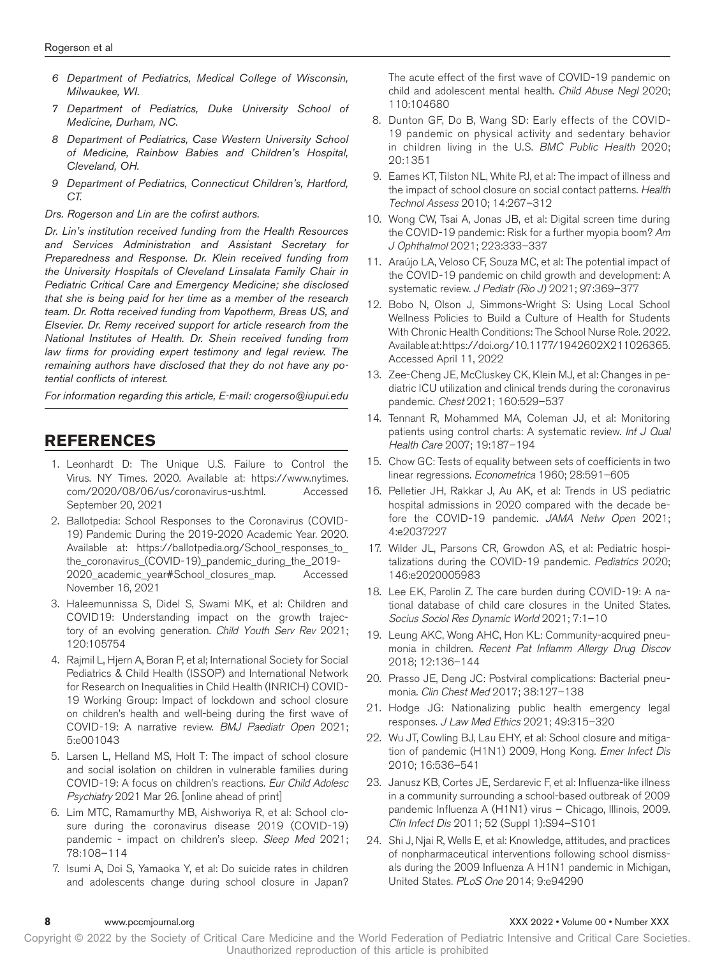- *6 Department of Pediatrics, Medical College of Wisconsin, Milwaukee, WI.*
- *7 Department of Pediatrics, Duke University School of Medicine, Durham, NC.*
- *8 Department of Pediatrics, Case Western University School of Medicine, Rainbow Babies and Children's Hospital, Cleveland, OH.*
- *9 Department of Pediatrics, Connecticut Children's, Hartford, CT.*

*Drs. Rogerson and Lin are the cofirst authors.*

*Dr. Lin's institution received funding from the Health Resources and Services Administration and Assistant Secretary for Preparedness and Response. Dr. Klein received funding from the University Hospitals of Cleveland Linsalata Family Chair in Pediatric Critical Care and Emergency Medicine; she disclosed that she is being paid for her time as a member of the research team. Dr. Rotta received funding from Vapotherm, Breas US, and Elsevier. Dr. Remy received support for article research from the National Institutes of Health. Dr. Shein received funding from law firms for providing expert testimony and legal review. The remaining authors have disclosed that they do not have any potential conflicts of interest.*

*For information regarding this article, E-mail: [crogerso@iupui.edu](mailto:crogerso@iupui.edu)*

### **REFERENCES**

- 1. Leonhardt D: The Unique U.S. Failure to Control the Virus. NY Times. 2020. Available at: [https://www.nytimes.](https://www.nytimes.com/2020/08/06/us/coronavirus-us.html) [com/2020/08/06/us/coronavirus-us.html.](https://www.nytimes.com/2020/08/06/us/coronavirus-us.html) Accessed September 20, 2021
- 2. Ballotpedia: School Responses to the Coronavirus (COVID-19) Pandemic During the 2019-2020 Academic Year. 2020. Available at: [https://ballotpedia.org/School\\_responses\\_to\\_](https://ballotpedia.org/School_responses_to_the_coronavirus_(COVID-19)_pandemic_during_the_2019-2020_academic_year#School_closures_map) [the\\_coronavirus\\_\(COVID-19\)\\_pandemic\\_during\\_the\\_2019-](https://ballotpedia.org/School_responses_to_the_coronavirus_(COVID-19)_pandemic_during_the_2019-2020_academic_year#School_closures_map) [2020\\_academic\\_year#School\\_closures\\_map](https://ballotpedia.org/School_responses_to_the_coronavirus_(COVID-19)_pandemic_during_the_2019-2020_academic_year#School_closures_map). Accessed November 16, 2021
- 3. Haleemunnissa S, Didel S, Swami MK, et al: Children and COVID19: Understanding impact on the growth trajectory of an evolving generation. *Child Youth Serv Rev* 2021; 120:105754
- 4. Rajmil L, Hjern A, Boran P, et al; International Society for Social Pediatrics & Child Health (ISSOP) and International Network for Research on Inequalities in Child Health (INRICH) COVID-19 Working Group: Impact of lockdown and school closure on children's health and well-being during the first wave of COVID-19: A narrative review. *BMJ Paediatr Open* 2021; 5:e001043
- 5. Larsen L, Helland MS, Holt T: The impact of school closure and social isolation on children in vulnerable families during COVID-19: A focus on children's reactions. *Eur Child Adolesc Psychiatry* 2021 Mar 26. [online ahead of print]
- 6. Lim MTC, Ramamurthy MB, Aishworiya R, et al: School closure during the coronavirus disease 2019 (COVID-19) pandemic - impact on children's sleep. *Sleep Med* 2021; 78:108–114
- 7. Isumi A, Doi S, Yamaoka Y, et al: Do suicide rates in children and adolescents change during school closure in Japan?

The acute effect of the first wave of COVID-19 pandemic on child and adolescent mental health. *Child Abuse Negl* 2020; 110:104680

- 8. Dunton GF, Do B, Wang SD: Early effects of the COVID-19 pandemic on physical activity and sedentary behavior in children living in the U.S. *BMC Public Health* 2020; 20:1351
- 9. Eames KT, Tilston NL, White PJ, et al: The impact of illness and the impact of school closure on social contact patterns. *Health Technol Assess* 2010; 14:267–312
- 10. Wong CW, Tsai A, Jonas JB, et al: Digital screen time during the COVID-19 pandemic: Risk for a further myopia boom? *Am J Ophthalmol* 2021; 223:333–337
- 11. Araújo LA, Veloso CF, Souza MC, et al: The potential impact of the COVID-19 pandemic on child growth and development: A systematic review. *J Pediatr (Rio J)* 2021; 97:369–377
- 12. Bobo N, Olson J, Simmons-Wright S: Using Local School Wellness Policies to Build a Culture of Health for Students With Chronic Health Conditions: The School Nurse Role. 2022. Available at: https://doi.org/10.1177/1942602X211026365. Accessed April 11, 2022
- 13. Zee-Cheng JE, McCluskey CK, Klein MJ, et al: Changes in pediatric ICU utilization and clinical trends during the coronavirus pandemic. *Chest* 2021; 160:529–537
- 14. Tennant R, Mohammed MA, Coleman JJ, et al: Monitoring patients using control charts: A systematic review. *Int J Qual Health Care* 2007; 19:187–194
- 15. Chow GC: Tests of equality between sets of coefficients in two linear regressions. *Econometrica* 1960; 28:591–605
- 16. Pelletier JH, Rakkar J, Au AK, et al: Trends in US pediatric hospital admissions in 2020 compared with the decade before the COVID-19 pandemic. *JAMA Netw Open* 2021; 4:e2037227
- 17. Wilder JL, Parsons CR, Growdon AS, et al: Pediatric hospitalizations during the COVID-19 pandemic. *Pediatrics* 2020; 146:e2020005983
- 18. Lee EK, Parolin Z. The care burden during COVID-19: A national database of child care closures in the United States. *Socius Sociol Res Dynamic World* 2021; 7:1–10
- 19. Leung AKC, Wong AHC, Hon KL: Community-acquired pneumonia in children. *Recent Pat Inflamm Allergy Drug Discov* 2018; 12:136–144
- 20. Prasso JE, Deng JC: Postviral complications: Bacterial pneumonia. *Clin Chest Med* 2017; 38:127–138
- 21. Hodge JG: Nationalizing public health emergency legal responses. *J Law Med Ethics* 2021; 49:315–320
- 22. Wu JT, Cowling BJ, Lau EHY, et al: School closure and mitigation of pandemic (H1N1) 2009, Hong Kong. *Emer Infect Dis* 2010; 16:536–541
- 23. Janusz KB, Cortes JE, Serdarevic F, et al: Influenza-like illness in a community surrounding a school-based outbreak of 2009 pandemic Influenza A (H1N1) virus – Chicago, Illinois, 2009. *Clin Infect Dis* 2011; 52 (Suppl 1):S94–S101
- 24. Shi J, Njai R, Wells E, et al: Knowledge, attitudes, and practices of nonpharmaceutical interventions following school dismissals during the 2009 Influenza A H1N1 pandemic in Michigan, United States. *PLoS One* 2014; 9:e94290

#### **8** www.pccmjournal.org XXX 2022 • Volume 00 • Number XXX